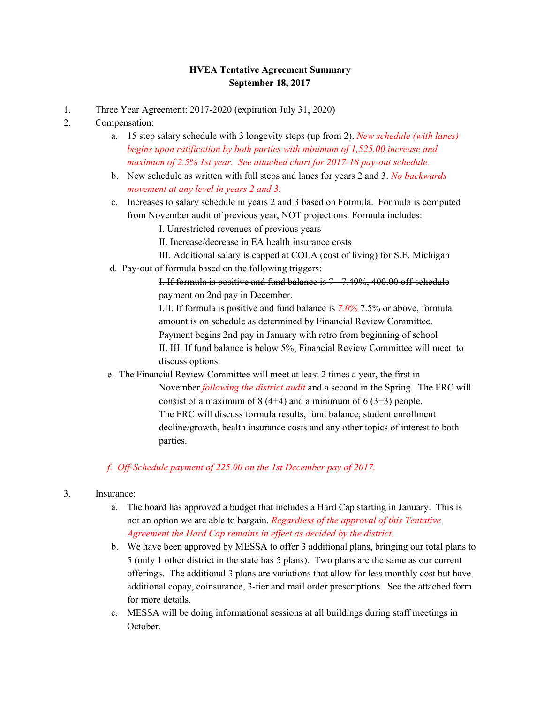## **HVEA Tentative Agreement Summary September 18, 2017**

1. Three Year Agreement: 2017-2020 (expiration July 31, 2020)

## 2. Compensation:

- a. 15 step salary schedule with 3 longevity steps (up from 2). *New schedule (with lanes) begins upon ratification by both parties with minimum of 1,525.00 increase and maximum of 2.5% 1st year. See attached chart for 2017-18 pay-out schedule.*
- b. New schedule as written with full steps and lanes for years 2 and 3. *No backwards movement at any level in years 2 and 3.*
- c. Increases to salary schedule in years 2 and 3 based on Formula. Formula is computed from November audit of previous year, NOT projections. Formula includes:
	- I. Unrestricted revenues of previous years
	- II. Increase/decrease in EA health insurance costs
- III. Additional salary is capped at COLA (cost of living) for S.E. Michigan d. Pay-out of formula based on the following triggers:
	- I. If formula is positive and fund balance is 7 7.49%, 400.00 off-schedule payment on 2nd pay in December.

I.II. If formula is positive and fund balance is *7.0%* 7.5% or above, formula amount is on schedule as determined by Financial Review Committee. Payment begins 2nd pay in January with retro from beginning of school II. III. If fund balance is below 5%, Financial Review Committee will meet to discuss options.

e. The Financial Review Committee will meet at least 2 times a year, the first in November *following the district audit* and a second in the Spring. The FRC will consist of a maximum of  $8(4+4)$  and a minimum of  $6(3+3)$  people. The FRC will discuss formula results, fund balance, student enrollment decline/growth, health insurance costs and any other topics of interest to both parties.

## *f. Of -Schedule payment of 225.00 on the 1st December pay of 2017.*

- 3. Insurance:
	- a. The board has approved a budget that includes a Hard Cap starting in January. This is not an option we are able to bargain. *Regardless of the approval of this Tentative Agreement the Hard Cap remains in ef ect as decided by the district.*
	- b. We have been approved by MESSA to offer 3 additional plans, bringing our total plans to 5 (only 1 other district in the state has 5 plans). Two plans are the same as our current offerings. The additional 3 plans are variations that allow for less monthly cost but have additional copay, coinsurance, 3-tier and mail order prescriptions. See the attached form for more details.
	- c. MESSA will be doing informational sessions at all buildings during staff meetings in October.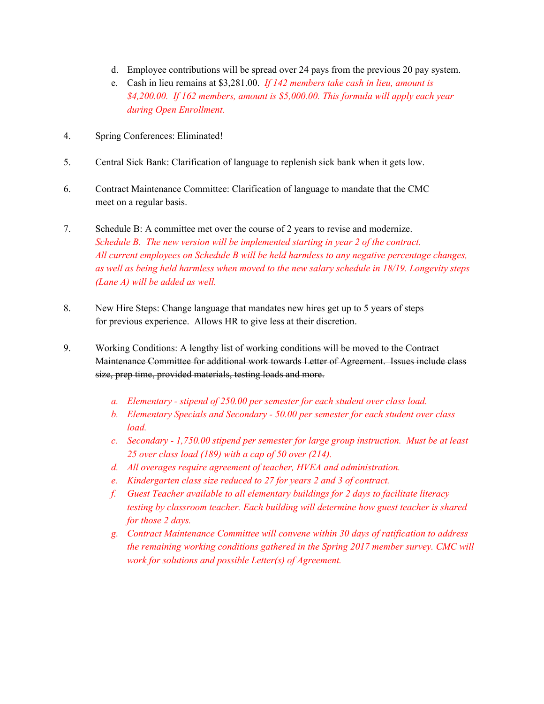- d. Employee contributions will be spread over 24 pays from the previous 20 pay system.
- e. Cash in lieu remains at \$3,281.00. *If 142 members take cash in lieu, amount is \$4,200.00. If 162 members, amount is \$5,000.00. This formula will apply each year during Open Enrollment.*
- 4. Spring Conferences: Eliminated!
- 5. Central Sick Bank: Clarification of language to replenish sick bank when it gets low.
- 6. Contract Maintenance Committee: Clarification of language to mandate that the CMC meet on a regular basis.
- 7. Schedule B: A committee met over the course of 2 years to revise and modernize. *Schedule B. The new version will be implemented starting in year 2 of the contract. All current employees on Schedule B will be held harmless to any negative percentage changes, as well as being held harmless when moved to the new salary schedule in 18/19. Longevity steps (Lane A) will be added as well.*
- 8. New Hire Steps: Change language that mandates new hires get up to 5 years of steps for previous experience. Allows HR to give less at their discretion.
- 9. Working Conditions: A lengthy list of working conditions will be moved to the Contract Maintenance Committee for additional work towards Letter of Agreement. Issues include class size, prep time, provided materials, testing loads and more.
	- *a. Elementary - stipend of 250.00 per semester for each student over class load.*
	- *b. Elementary Specials and Secondary - 50.00 per semester for each student over class load.*
	- *c. Secondary - 1,750.00 stipend per semester for large group instruction. Must be at least 25 over class load (189) with a cap of 50 over (214).*
	- *d. All overages require agreement of teacher, HVEA and administration.*
	- *e. Kindergarten class size reduced to 27 for years 2 and 3 of contract.*
	- *f. Guest Teacher available to all elementary buildings for 2 days to facilitate literacy testing by classroom teacher. Each building will determine how guest teacher is shared for those 2 days.*
	- *g. Contract Maintenance Committee will convene within 30 days of ratification to address the remaining working conditions gathered in the Spring 2017 member survey. CMC will work for solutions and possible Letter(s) of Agreement.*